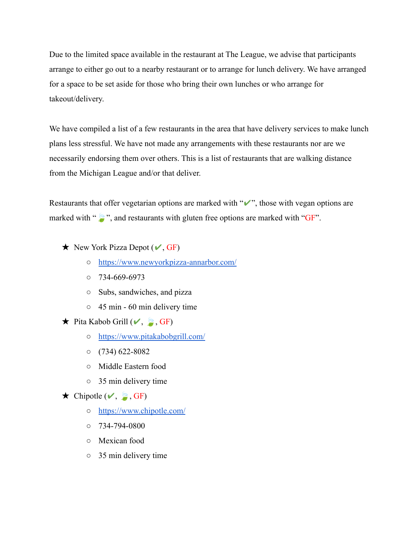Due to the limited space available in the restaurant at The League, we advise that participants arrange to either go out to a nearby restaurant or to arrange for lunch delivery. We have arranged for a space to be set aside for those who bring their own lunches or who arrange for takeout/delivery.

We have compiled a list of a few restaurants in the area that have delivery services to make lunch plans less stressful. We have not made any arrangements with these restaurants nor are we necessarily endorsing them over others. This is a list of restaurants that are walking distance from the Michigan League and/or that deliver.

Restaurants that offer vegetarian options are marked with "✔", those with vegan options are marked with " $\mathcal{L}$ ", and restaurants with gluten free options are marked with "GF".

- $\star$  New York Pizza Depot ( $\checkmark$ , GF)
	- <https://www.newyorkpizza-annarbor.com/>
	- 734-669-6973
	- Subs, sandwiches, and pizza
	- $\circ$  45 min 60 min delivery time
- $\star$  Pita Kabob Grill ( $\checkmark$ ,  $\check{G}$ , GF)
	- <https://www.pitakabobgrill.com/>
	- $\circ$  (734) 622-8082
	- Middle Eastern food
	- 35 min delivery time
- $\star$  Chipotle ( $\checkmark$ ,  $\check{S}$ , GF)
	- <https://www.chipotle.com/>
	- $\circ$  734-794-0800
	- Mexican food
	- 35 min delivery time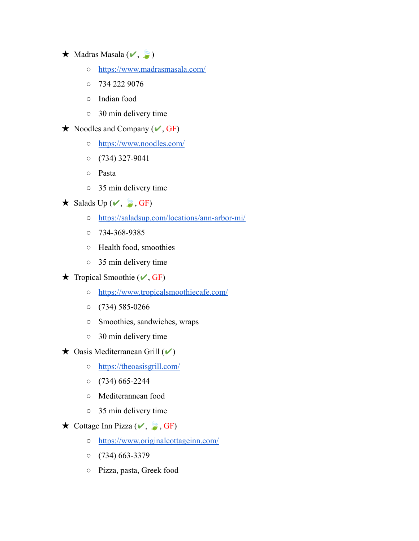## $\star$  Madras Masala  $(\checkmark, \circledast)$

- <https://www.madrasmasala.com/>
- $0$  734 222 9076
- Indian food
- 30 min delivery time
- $\star$  Noodles and Company ( $\checkmark$ , GF)
	- <https://www.noodles.com/>
	- $O \quad (734)$  327-9041
	- Pasta
	- 35 min delivery time
- $\star$  Salads Up ( $\checkmark$ ,  $\checkmark$ , GF)
	- <https://saladsup.com/locations/ann-arbor-mi/>
	- 734-368-9385
	- Health food, smoothies
	- 35 min delivery time
- $\star$  Tropical Smoothie ( $\checkmark$ , GF)
	- <https://www.tropicalsmoothiecafe.com/>
	- $O(734) 585 0266$
	- Smoothies, sandwiches, wraps
	- 30 min delivery time
- $\star$  Oasis Mediterranean Grill ( $\checkmark$ )
	- <https://theoasisgrill.com/>
	- $O$  (734) 665-2244
	- Mediterannean food
	- 35 min delivery time
- $\star$  Cottage Inn Pizza ( $\checkmark$ ,  $\checkmark$ , GF)
	- <https://www.originalcottageinn.com/>
	- $O$  (734) 663-3379
	- Pizza, pasta, Greek food